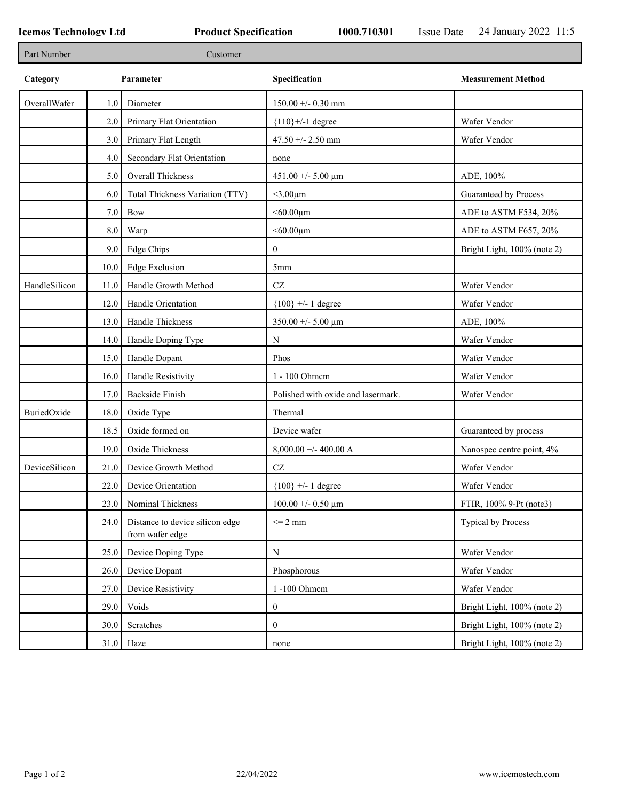| Part Number   |         | Customer                                           |                                     |                             |
|---------------|---------|----------------------------------------------------|-------------------------------------|-----------------------------|
| Category      |         | Parameter                                          | Specification                       | <b>Measurement Method</b>   |
| OverallWafer  | 1.0     | Diameter                                           | $150.00 + -0.30$ mm                 |                             |
|               | 2.0     | Primary Flat Orientation                           | ${110}$ +/-1 degree                 | Wafer Vendor                |
|               | 3.0     | Primary Flat Length                                | 47.50 +/- 2.50 mm                   | Wafer Vendor                |
|               | 4.0     | Secondary Flat Orientation                         | none                                |                             |
|               | 5.0     | <b>Overall Thickness</b>                           | $451.00 + - 5.00 \mu m$             | ADE, 100%                   |
|               | 6.0     | Total Thickness Variation (TTV)                    | $<$ 3.00 $\mu$ m                    | Guaranteed by Process       |
|               | 7.0     | Bow                                                | $<$ 60.00 $\mu$ m                   | ADE to ASTM F534, 20%       |
|               | $8.0\,$ | Warp                                               | $<$ 60.00 $\mu$ m                   | ADE to ASTM F657, 20%       |
|               | 9.0     | Edge Chips                                         | $\mathbf{0}$                        | Bright Light, 100% (note 2) |
|               | 10.0    | <b>Edge Exclusion</b>                              | 5mm                                 |                             |
| HandleSilicon | 11.0    | Handle Growth Method                               | $\operatorname{CZ}$                 | Wafer Vendor                |
|               | 12.0    | Handle Orientation                                 | ${100}$ +/- 1 degree                | Wafer Vendor                |
|               | 13.0    | Handle Thickness                                   | $350.00 + - 5.00 \mu m$             | ADE, 100%                   |
|               | 14.0    | Handle Doping Type                                 | ${\bf N}$                           | Wafer Vendor                |
|               | 15.0    | Handle Dopant                                      | Phos                                | Wafer Vendor                |
|               | 16.0    | Handle Resistivity                                 | 1 - 100 Ohmem                       | Wafer Vendor                |
|               | 17.0    | <b>Backside Finish</b>                             | Polished with oxide and lasermark.  | Wafer Vendor                |
| BuriedOxide   | 18.0    | Oxide Type                                         | Thermal                             |                             |
|               | 18.5    | Oxide formed on                                    | Device wafer                        | Guaranteed by process       |
|               | 19.0    | Oxide Thickness                                    | $8,000.00 +/- 400.00 A$             | Nanospec centre point, 4%   |
| DeviceSilicon | 21.0    | Device Growth Method                               | CZ                                  | Wafer Vendor                |
|               | 22.0    | Device Orientation                                 | ${100}$ +/- 1 degree                | Wafer Vendor                |
|               | 23.0    | Nominal Thickness                                  | $100.00 + 0.50 \text{ }\mu\text{m}$ | FTIR, 100% 9-Pt (note3)     |
|               | 24.0    | Distance to device silicon edge<br>from wafer edge | $\leq$ 2 mm                         | Typical by Process          |
|               | 25.0    | Device Doping Type                                 | ${\bf N}$                           | Wafer Vendor                |
|               | 26.0    | Device Dopant                                      | Phosphorous                         | Wafer Vendor                |
|               | 27.0    | Device Resistivity                                 | 1-100 Ohmem                         | Wafer Vendor                |
|               | 29.0    | Voids                                              | $\boldsymbol{0}$                    | Bright Light, 100% (note 2) |
|               | 30.0    | Scratches                                          | $\mathbf{0}$                        | Bright Light, 100% (note 2) |
|               |         | $31.0$ Haze                                        | none                                | Bright Light, 100% (note 2) |